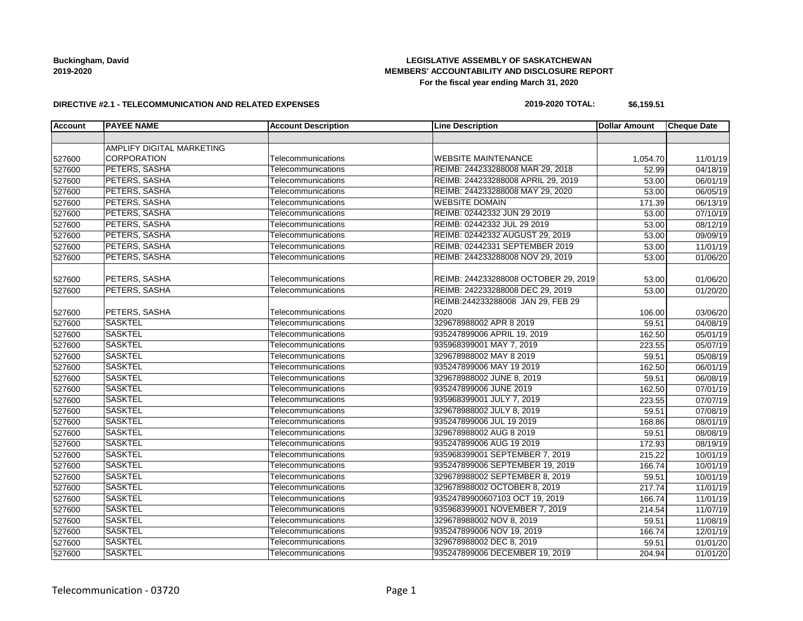### **LEGISLATIVE ASSEMBLY OF SASKATCHEWAN MEMBERS' ACCOUNTABILITY AND DISCLOSURE REPORT For the fiscal year ending March 31, 2020**

#### **DIRECTIVE #2.1 - TELECOMMUNICATION AND RELATED EXPENSES**

#### **2019-2020 TOTAL: \$6,159.51**

| <b>Account</b> | <b>PAYEE NAME</b>         | <b>Account Description</b> | <b>Line Description</b>              | <b>Dollar Amount</b> | <b>Cheque Date</b> |
|----------------|---------------------------|----------------------------|--------------------------------------|----------------------|--------------------|
|                |                           |                            |                                      |                      |                    |
|                | AMPLIFY DIGITAL MARKETING |                            |                                      |                      |                    |
| 527600         | CORPORATION               | Telecommunications         | <b>WEBSITE MAINTENANCE</b>           | 1,054.70             | 11/01/19           |
| 527600         | PETERS, SASHA             | Telecommunications         | REIMB: 244233288008 MAR 29, 2018     | 52.99                | 04/18/19           |
| 527600         | PETERS, SASHA             | Telecommunications         | REIMB: 244233288008 APRIL 29, 2019   | 53.00                | 06/01/19           |
| 527600         | PETERS, SASHA             | Telecommunications         | REIMB: 244233288008 MAY 29, 2020     | 53.00                | 06/05/19           |
| 527600         | PETERS, SASHA             | Telecommunications         | <b>WEBSITE DOMAIN</b>                | 171.39               | 06/13/19           |
| 527600         | <b>PETERS, SASHA</b>      | Telecommunications         | REIMB: 02442332 JUN 29 2019          | 53.00                | 07/10/19           |
| 527600         | PETERS, SASHA             | Telecommunications         | REIMB: 02442332 JUL 29 2019          | 53.00                | 08/12/19           |
| 527600         | PETERS, SASHA             | Telecommunications         | REIMB: 02442332 AUGUST 29, 2019      | 53.00                | 09/09/19           |
| 527600         | PETERS, SASHA             | Telecommunications         | REIMB: 02442331 SEPTEMBER 2019       | 53.00                | 11/01/19           |
| 527600         | PETERS, SASHA             | Telecommunications         | REIMB: 244233288008 NOV 29, 2019     | 53.00                | 01/06/20           |
| 527600         | PETERS, SASHA             | Telecommunications         | REIMB: 244233288008 OCTOBER 29, 2019 | 53.00                | 01/06/20           |
| 527600         | PETERS, SASHA             | Telecommunications         | REIMB: 242233288008 DEC 29, 2019     | 53.00                | 01/20/20           |
|                |                           |                            | REIMB:244233288008 JAN 29, FEB 29    |                      |                    |
| 527600         | PETERS, SASHA             | Telecommunications         | 2020                                 | 106.00               | 03/06/20           |
| 527600         | <b>SASKTEL</b>            | Telecommunications         | 329678988002 APR 8 2019              | 59.51                | 04/08/19           |
| 527600         | <b>SASKTEL</b>            | Telecommunications         | 935247899006 APRIL 19, 2019          | 162.50               | 05/01/19           |
| 527600         | <b>SASKTEL</b>            | Telecommunications         | 935968399001 MAY 7, 2019             | 223.55               | 05/07/19           |
| 527600         | <b>SASKTEL</b>            | Telecommunications         | 329678988002 MAY 8 2019              | 59.51                | 05/08/19           |
| 527600         | <b>SASKTEL</b>            | Telecommunications         | 935247899006 MAY 19 2019             | 162.50               | 06/01/19           |
| 527600         | <b>SASKTEL</b>            | Telecommunications         | 329678988002 JUNE 8, 2019            | 59.51                | 06/08/19           |
| 527600         | <b>SASKTEL</b>            | Telecommunications         | 935247899006 JUNE 2019               | 162.50               | 07/01/19           |
| 527600         | <b>SASKTEL</b>            | Telecommunications         | 935968399001 JULY 7, 2019            | 223.55               | 07/07/19           |
| 527600         | <b>SASKTEL</b>            | Telecommunications         | 329678988002 JULY 8, 2019            | 59.51                | 07/08/19           |
| 527600         | <b>SASKTEL</b>            | Telecommunications         | 935247899006 JUL 19 2019             | 168.86               | 08/01/19           |
| 527600         | <b>SASKTEL</b>            | Telecommunications         | 329678988002 AUG 8 2019              | 59.51                | 08/08/19           |
| 527600         | <b>SASKTEL</b>            | Telecommunications         | 935247899006 AUG 19 2019             | 172.93               | 08/19/19           |
| 527600         | <b>SASKTEL</b>            | Telecommunications         | 935968399001 SEPTEMBER 7, 2019       | 215.22               | 10/01/19           |
| 527600         | <b>SASKTEL</b>            | Telecommunications         | 935247899006 SEPTEMBER 19, 2019      | 166.74               | 10/01/19           |
| 527600         | <b>SASKTEL</b>            | Telecommunications         | 329678988002 SEPTEMBER 8, 2019       | 59.51                | 10/01/19           |
| 527600         | <b>SASKTEL</b>            | Telecommunications         | 329678988002 OCTOBER 8, 2019         | 217.74               | 11/01/19           |
| 527600         | <b>SASKTEL</b>            | Telecommunications         | 93524789900607103 OCT 19, 2019       | 166.74               | 11/01/19           |
| 527600         | <b>SASKTEL</b>            | Telecommunications         | 935968399001 NOVEMBER 7, 2019        | 214.54               | 11/07/19           |
| 527600         | <b>SASKTEL</b>            | Telecommunications         | 329678988002 NOV 8, 2019             | 59.51                | 11/08/19           |
| 527600         | <b>SASKTEL</b>            | Telecommunications         | 935247899006 NOV 19, 2019            | 166.74               | 12/01/19           |
| 527600         | <b>SASKTEL</b>            | Telecommunications         | 329678988002 DEC 8, 2019             | 59.51                | 01/01/20           |
| 527600         | <b>SASKTEL</b>            | Telecommunications         | 935247899006 DECEMBER 19, 2019       | 204.94               | 01/01/20           |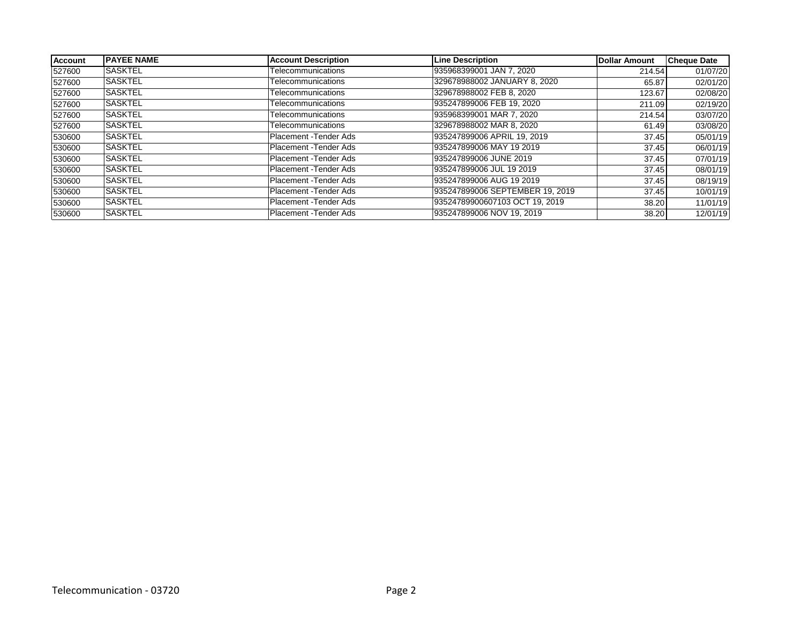| <b>Account</b> | <b>IPAYEE NAME</b> | <b>Account Description</b> | <b>Line Description</b>         | <b>Dollar Amount</b> | <b>Cheque Date</b> |
|----------------|--------------------|----------------------------|---------------------------------|----------------------|--------------------|
| 527600         | <b>SASKTEL</b>     | Telecommunications         | 935968399001 JAN 7, 2020        | 214.54               | 01/07/20           |
| 527600         | <b>SASKTEL</b>     | Telecommunications         | 329678988002 JANUARY 8, 2020    | 65.87                | 02/01/20           |
| 527600         | <b>SASKTEL</b>     | Telecommunications         | 329678988002 FEB 8, 2020        | 123.67               | 02/08/20           |
| 527600         | <b>SASKTEL</b>     | Telecommunications         | 935247899006 FEB 19, 2020       | 211.09               | 02/19/20           |
| 527600         | <b>SASKTEL</b>     | Telecommunications         | 935968399001 MAR 7, 2020        | 214.54               | 03/07/20           |
| 527600         | <b>SASKTEL</b>     | Telecommunications         | 329678988002 MAR 8, 2020        | 61.49                | 03/08/20           |
| 530600         | <b>SASKTEL</b>     | Placement - Tender Ads     | 935247899006 APRIL 19. 2019     | 37.45                | 05/01/19           |
| 530600         | <b>SASKTEL</b>     | Placement - Tender Ads     | 935247899006 MAY 19 2019        | 37.45                | 06/01/19           |
| 530600         | <b>SASKTEL</b>     | Placement - Tender Ads     | 935247899006 JUNE 2019          | 37.45                | 07/01/19           |
| 530600         | <b>SASKTEL</b>     | Placement - Tender Ads     | 935247899006 JUL 19 2019        | 37.45                | 08/01/19           |
| 530600         | <b>SASKTEL</b>     | Placement - Tender Ads     | 935247899006 AUG 19 2019        | 37.45                | 08/19/19           |
| 530600         | <b>SASKTEL</b>     | Placement - Tender Ads     | 935247899006 SEPTEMBER 19. 2019 | 37.45                | 10/01/19           |
| 530600         | <b>SASKTEL</b>     | Placement - Tender Ads     | 93524789900607103 OCT 19, 2019  | 38.20                | 11/01/19           |
| 530600         | <b>SASKTEL</b>     | Placement - Tender Ads     | 935247899006 NOV 19, 2019       | 38.20                | 12/01/19           |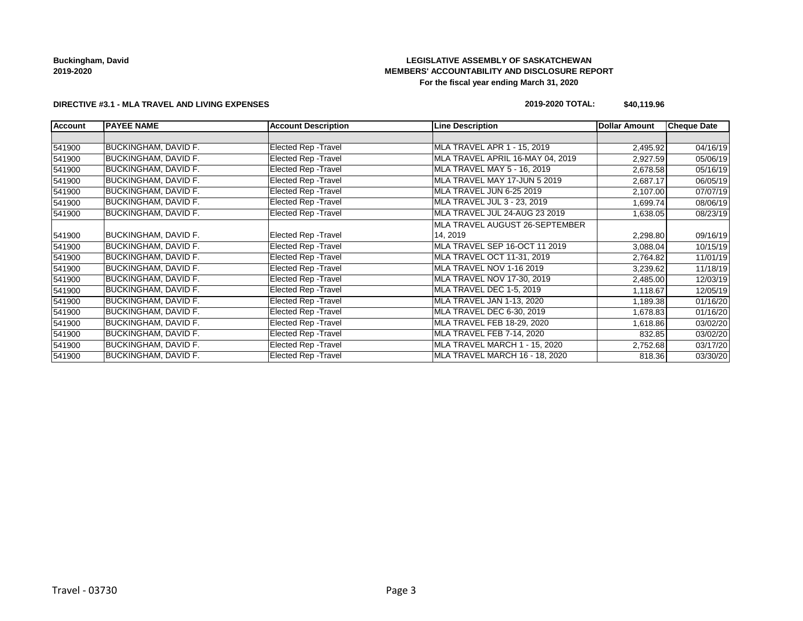### **LEGISLATIVE ASSEMBLY OF SASKATCHEWAN MEMBERS' ACCOUNTABILITY AND DISCLOSURE REPORT For the fiscal year ending March 31, 2020**

#### **DIRECTIVE #3.1 - MLA TRAVEL AND LIVING EXPENSES**

### **2019-2020 TOTAL: \$40,119.96**

| <b>Account</b> | <b>PAYEE NAME</b>           | <b>Account Description</b>  | <b>Line Description</b>          | Dollar Amount | <b>Cheque Date</b> |
|----------------|-----------------------------|-----------------------------|----------------------------------|---------------|--------------------|
|                |                             |                             |                                  |               |                    |
| 541900         | <b>BUCKINGHAM, DAVID F.</b> | Elected Rep - Travel        | MLA TRAVEL APR 1 - 15, 2019      | 2,495.92      | 04/16/19           |
| 541900         | <b>BUCKINGHAM, DAVID F.</b> | <b>Elected Rep - Travel</b> | MLA TRAVEL APRIL 16-MAY 04, 2019 | 2,927.59      | 05/06/19           |
| 541900         | <b>BUCKINGHAM, DAVID F.</b> | Elected Rep - Travel        | MLA TRAVEL MAY 5 - 16, 2019      | 2,678.58      | 05/16/19           |
| 541900         | <b>BUCKINGHAM, DAVID F.</b> | Elected Rep - Travel        | MLA TRAVEL MAY 17-JUN 5 2019     | 2,687.17      | 06/05/19           |
| 541900         | <b>BUCKINGHAM, DAVID F.</b> | Elected Rep - Travel        | MLA TRAVEL JUN 6-25 2019         | 2,107.00      | 07/07/19           |
| 541900         | <b>BUCKINGHAM, DAVID F.</b> | Elected Rep - Travel        | MLA TRAVEL JUL 3 - 23, 2019      | 1,699.74      | 08/06/19           |
| 541900         | <b>BUCKINGHAM, DAVID F.</b> | Elected Rep - Travel        | MLA TRAVEL JUL 24-AUG 23 2019    | 1,638.05      | 08/23/19           |
|                |                             |                             | MLA TRAVEL AUGUST 26-SEPTEMBER   |               |                    |
| 541900         | <b>BUCKINGHAM, DAVID F.</b> | <b>Elected Rep - Travel</b> | 14, 2019                         | 2,298.80      | 09/16/19           |
| 541900         | <b>BUCKINGHAM, DAVID F.</b> | Elected Rep - Travel        | MLA TRAVEL SEP 16-OCT 11 2019    | 3,088.04      | 10/15/19           |
| 541900         | <b>BUCKINGHAM, DAVID F.</b> | Elected Rep - Travel        | MLA TRAVEL OCT 11-31, 2019       | 2,764.82      | 11/01/19           |
| 541900         | <b>BUCKINGHAM, DAVID F.</b> | Elected Rep - Travel        | MLA TRAVEL NOV 1-16 2019         | 3,239.62      | 11/18/19           |
| 541900         | <b>BUCKINGHAM, DAVID F.</b> | Elected Rep - Travel        | MLA TRAVEL NOV 17-30, 2019       | 2,485.00      | 12/03/19           |
| 541900         | <b>BUCKINGHAM, DAVID F.</b> | Elected Rep - Travel        | MLA TRAVEL DEC 1-5, 2019         | 1,118.67      | 12/05/19           |
| 541900         | <b>BUCKINGHAM, DAVID F.</b> | Elected Rep - Travel        | MLA TRAVEL JAN 1-13, 2020        | 1,189.38      | 01/16/20           |
| 541900         | <b>BUCKINGHAM, DAVID F.</b> | <b>Elected Rep - Travel</b> | MLA TRAVEL DEC 6-30, 2019        | 1,678.83      | 01/16/20           |
| 541900         | <b>BUCKINGHAM, DAVID F.</b> | Elected Rep - Travel        | MLA TRAVEL FEB 18-29, 2020       | 1,618.86      | 03/02/20           |
| 541900         | <b>BUCKINGHAM, DAVID F.</b> | Elected Rep - Travel        | MLA TRAVEL FEB 7-14, 2020        | 832.85        | 03/02/20           |
| 541900         | <b>BUCKINGHAM, DAVID F.</b> | Elected Rep - Travel        | MLA TRAVEL MARCH 1 - 15, 2020    | 2,752.68      | 03/17/20           |
| 541900         | <b>BUCKINGHAM, DAVID F.</b> | Elected Rep - Travel        | MLA TRAVEL MARCH 16 - 18, 2020   | 818.36        | 03/30/20           |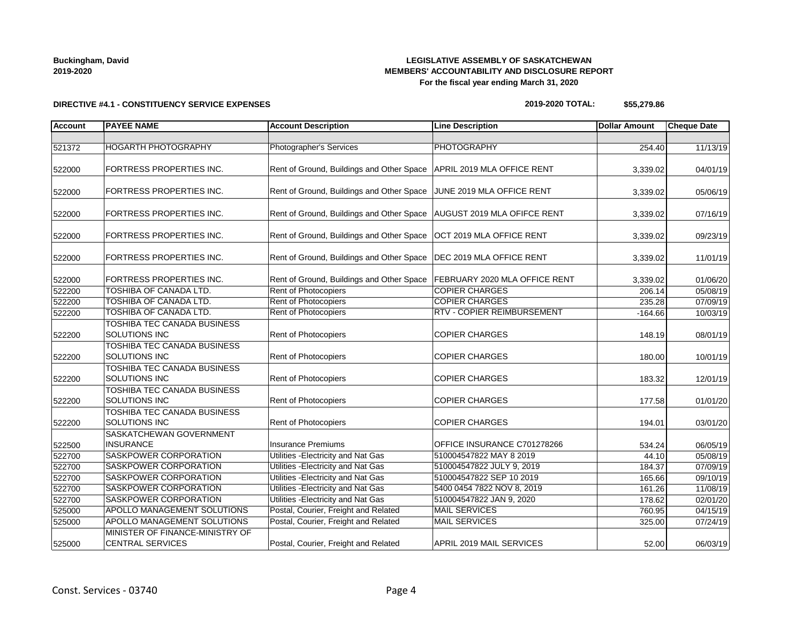### **LEGISLATIVE ASSEMBLY OF SASKATCHEWAN MEMBERS' ACCOUNTABILITY AND DISCLOSURE REPORT For the fiscal year ending March 31, 2020**

#### **DIRECTIVE #4.1 - CONSTITUENCY SERVICE EXPENSES**

#### **2019-2020 TOTAL: \$55,279.86**

| <b>Account</b> | <b>PAYEE NAME</b>                                          | <b>Account Description</b>                                              | <b>Line Description</b>           | <b>Dollar Amount</b> | <b>Cheque Date</b>    |
|----------------|------------------------------------------------------------|-------------------------------------------------------------------------|-----------------------------------|----------------------|-----------------------|
|                |                                                            |                                                                         |                                   |                      |                       |
| 521372         | <b>HOGARTH PHOTOGRAPHY</b>                                 | Photographer's Services                                                 | <b>PHOTOGRAPHY</b>                | 254.40               | 11/13/19              |
| 522000         | FORTRESS PROPERTIES INC.                                   | Rent of Ground, Buildings and Other Space   APRIL 2019 MLA OFFICE RENT  |                                   | 3,339.02             | 04/01/19              |
| 522000         | FORTRESS PROPERTIES INC.                                   | Rent of Ground, Buildings and Other Space                               | JUNE 2019 MLA OFFICE RENT         | 3,339.02             | 05/06/19              |
| 522000         | FORTRESS PROPERTIES INC.                                   | Rent of Ground, Buildings and Other Space   AUGUST 2019 MLA OFIFCE RENT |                                   | 3,339.02             | 07/16/19              |
| 522000         | FORTRESS PROPERTIES INC.                                   | Rent of Ground, Buildings and Other Space                               | <b>OCT 2019 MLA OFFICE RENT</b>   | 3,339.02             | 09/23/19              |
| 522000         | FORTRESS PROPERTIES INC.                                   | Rent of Ground, Buildings and Other Space                               | DEC 2019 MLA OFFICE RENT          | 3,339.02             | 11/01/19              |
| 522000         | FORTRESS PROPERTIES INC.                                   | Rent of Ground, Buildings and Other Space                               | FEBRUARY 2020 MLA OFFICE RENT     | 3,339.02             | 01/06/20              |
| 522200         | <b>TOSHIBA OF CANADA LTD.</b>                              | Rent of Photocopiers                                                    | <b>COPIER CHARGES</b>             | 206.14               | 05/08/19              |
| 522200         | <b>TOSHIBA OF CANADA LTD.</b>                              | <b>Rent of Photocopiers</b>                                             | <b>COPIER CHARGES</b>             | 235.28               | 07/09/19              |
| 522200         | TOSHIBA OF CANADA LTD.                                     | Rent of Photocopiers                                                    | <b>RTV - COPIER REIMBURSEMENT</b> | $-164.66$            | 10/03/19              |
| 522200         | TOSHIBA TEC CANADA BUSINESS<br>SOLUTIONS INC               | Rent of Photocopiers                                                    | <b>COPIER CHARGES</b>             | 148.19               | 08/01/19              |
| 522200         | TOSHIBA TEC CANADA BUSINESS<br>SOLUTIONS INC               | Rent of Photocopiers                                                    | <b>COPIER CHARGES</b>             | 180.00               | 10/01/19              |
| 522200         | TOSHIBA TEC CANADA BUSINESS<br>SOLUTIONS INC               | <b>Rent of Photocopiers</b>                                             | <b>COPIER CHARGES</b>             | 183.32               | 12/01/19              |
| 522200         | TOSHIBA TEC CANADA BUSINESS<br>SOLUTIONS INC               | Rent of Photocopiers                                                    | <b>COPIER CHARGES</b>             | 177.58               | 01/01/20              |
| 522200         | TOSHIBA TEC CANADA BUSINESS<br><b>SOLUTIONS INC</b>        | Rent of Photocopiers                                                    | <b>COPIER CHARGES</b>             | 194.01               | 03/01/20              |
| 522500         | SASKATCHEWAN GOVERNMENT<br><b>INSURANCE</b>                | <b>Insurance Premiums</b>                                               | OFFICE INSURANCE C701278266       | 534.24               | 06/05/19              |
| 522700         | SASKPOWER CORPORATION                                      | Utilities - Electricity and Nat Gas                                     | 510004547822 MAY 8 2019           | 44.10                | 05/08/19              |
| 522700         | SASKPOWER CORPORATION                                      | Utilities - Electricity and Nat Gas                                     | 510004547822 JULY 9, 2019         | 184.37               | $\overline{07/09/19}$ |
| 522700         | SASKPOWER CORPORATION                                      | Utilities - Electricity and Nat Gas                                     | 510004547822 SEP 10 2019          | 165.66               | 09/10/19              |
| 522700         | SASKPOWER CORPORATION                                      | Utilities - Electricity and Nat Gas                                     | 5400 0454 7822 NOV 8, 2019        | 161.26               | 11/08/19              |
| 522700         | SASKPOWER CORPORATION                                      | Utilities - Electricity and Nat Gas                                     | 510004547822 JAN 9, 2020          | 178.62               | 02/01/20              |
| 525000         | APOLLO MANAGEMENT SOLUTIONS                                | Postal, Courier, Freight and Related                                    | <b>MAIL SERVICES</b>              | 760.95               | 04/15/19              |
| 525000         | APOLLO MANAGEMENT SOLUTIONS                                | Postal, Courier, Freight and Related                                    | <b>MAIL SERVICES</b>              | 325.00               | 07/24/19              |
| 525000         | MINISTER OF FINANCE-MINISTRY OF<br><b>CENTRAL SERVICES</b> | Postal, Courier, Freight and Related                                    | APRIL 2019 MAIL SERVICES          | 52.00                | 06/03/19              |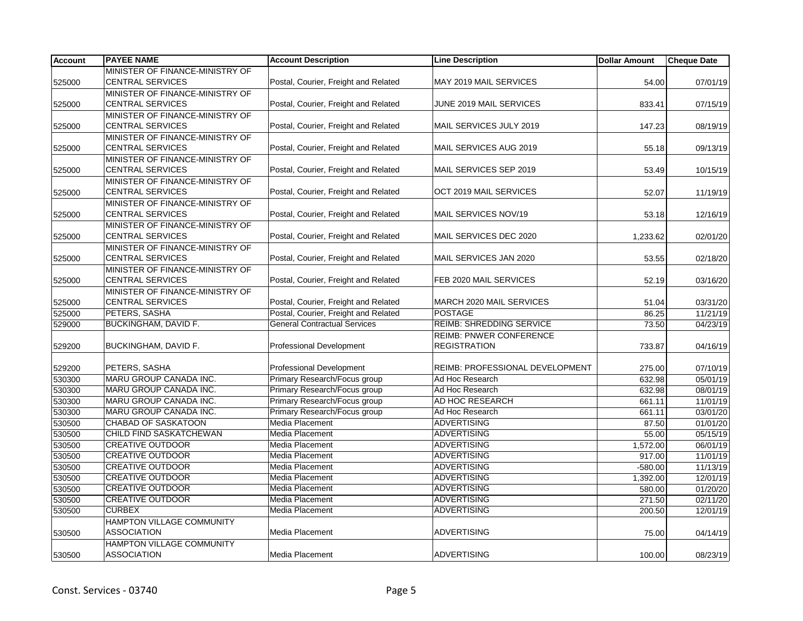| <b>Account</b> | <b>PAYEE NAME</b>                | <b>Account Description</b>           | <b>Line Description</b>         | <b>Dollar Amount</b> | <b>Cheque Date</b> |
|----------------|----------------------------------|--------------------------------------|---------------------------------|----------------------|--------------------|
|                | MINISTER OF FINANCE-MINISTRY OF  |                                      |                                 |                      |                    |
| 525000         | <b>CENTRAL SERVICES</b>          | Postal, Courier, Freight and Related | MAY 2019 MAIL SERVICES          | 54.00                | 07/01/19           |
|                | MINISTER OF FINANCE-MINISTRY OF  |                                      |                                 |                      |                    |
| 525000         | <b>CENTRAL SERVICES</b>          | Postal, Courier, Freight and Related | JUNE 2019 MAIL SERVICES         | 833.41               | 07/15/19           |
|                | MINISTER OF FINANCE-MINISTRY OF  |                                      |                                 |                      |                    |
| 525000         | <b>CENTRAL SERVICES</b>          | Postal, Courier, Freight and Related | MAIL SERVICES JULY 2019         | 147.23               | 08/19/19           |
|                | MINISTER OF FINANCE-MINISTRY OF  |                                      |                                 |                      |                    |
| 525000         | <b>CENTRAL SERVICES</b>          | Postal, Courier, Freight and Related | MAIL SERVICES AUG 2019          | 55.18                | 09/13/19           |
|                | MINISTER OF FINANCE-MINISTRY OF  |                                      |                                 |                      |                    |
| 525000         | <b>CENTRAL SERVICES</b>          | Postal, Courier, Freight and Related | MAIL SERVICES SEP 2019          | 53.49                | 10/15/19           |
|                | MINISTER OF FINANCE-MINISTRY OF  |                                      |                                 |                      |                    |
| 525000         | <b>CENTRAL SERVICES</b>          | Postal, Courier, Freight and Related | OCT 2019 MAIL SERVICES          | 52.07                | 11/19/19           |
|                | MINISTER OF FINANCE-MINISTRY OF  |                                      |                                 |                      |                    |
| 525000         | <b>CENTRAL SERVICES</b>          | Postal, Courier, Freight and Related | MAIL SERVICES NOV/19            | 53.18                | 12/16/19           |
|                | MINISTER OF FINANCE-MINISTRY OF  |                                      |                                 |                      |                    |
| 525000         | <b>CENTRAL SERVICES</b>          | Postal, Courier, Freight and Related | MAIL SERVICES DEC 2020          | 1,233.62             | 02/01/20           |
|                | MINISTER OF FINANCE-MINISTRY OF  |                                      |                                 |                      |                    |
| 525000         | <b>CENTRAL SERVICES</b>          | Postal, Courier, Freight and Related | MAIL SERVICES JAN 2020          | 53.55                | 02/18/20           |
|                | MINISTER OF FINANCE-MINISTRY OF  |                                      |                                 |                      |                    |
| 525000         | <b>CENTRAL SERVICES</b>          | Postal, Courier, Freight and Related | FEB 2020 MAIL SERVICES          | 52.19                | 03/16/20           |
|                | MINISTER OF FINANCE-MINISTRY OF  |                                      |                                 |                      |                    |
| 525000         | <b>CENTRAL SERVICES</b>          | Postal, Courier, Freight and Related | MARCH 2020 MAIL SERVICES        | 51.04                | 03/31/20           |
| 525000         | PETERS, SASHA                    | Postal, Courier, Freight and Related | <b>POSTAGE</b>                  | 86.25                | 11/21/19           |
| 529000         | <b>BUCKINGHAM, DAVID F.</b>      | <b>General Contractual Services</b>  | <b>REIMB: SHREDDING SERVICE</b> | 73.50                | 04/23/19           |
|                |                                  |                                      | REIMB: PNWER CONFERENCE         |                      |                    |
| 529200         | BUCKINGHAM, DAVID F.             | <b>Professional Development</b>      | <b>REGISTRATION</b>             | 733.87               | 04/16/19           |
|                |                                  |                                      |                                 |                      |                    |
| 529200         | PETERS, SASHA                    | <b>Professional Development</b>      | REIMB: PROFESSIONAL DEVELOPMENT | 275.00               | 07/10/19           |
| 530300         | MARU GROUP CANADA INC.           | Primary Research/Focus group         | Ad Hoc Research                 | 632.98               | 05/01/19           |
| 530300         | MARU GROUP CANADA INC.           | Primary Research/Focus group         | Ad Hoc Research                 | 632.98               | 08/01/19           |
| 530300         | MARU GROUP CANADA INC.           | Primary Research/Focus group         | AD HOC RESEARCH                 | 661.11               | 11/01/19           |
| 530300         | MARU GROUP CANADA INC.           | Primary Research/Focus group         | Ad Hoc Research                 | 661.11               | 03/01/20           |
| 530500         | <b>CHABAD OF SASKATOON</b>       | <b>Media Placement</b>               | <b>ADVERTISING</b>              | 87.50                | 01/01/20           |
| 530500         | CHILD FIND SASKATCHEWAN          | <b>Media Placement</b>               | <b>ADVERTISING</b>              | 55.00                | 05/15/19           |
| 530500         | <b>CREATIVE OUTDOOR</b>          | <b>Media Placement</b>               | <b>ADVERTISING</b>              | 1,572.00             | 06/01/19           |
| 530500         | <b>CREATIVE OUTDOOR</b>          | Media Placement                      | <b>ADVERTISING</b>              | 917.00               | 11/01/19           |
| 530500         | <b>CREATIVE OUTDOOR</b>          | <b>Media Placement</b>               | <b>ADVERTISING</b>              | $-580.00$            | 11/13/19           |
| 530500         | <b>CREATIVE OUTDOOR</b>          | <b>Media Placement</b>               | <b>ADVERTISING</b>              | 1,392.00             | 12/01/19           |
| 530500         | <b>CREATIVE OUTDOOR</b>          | <b>Media Placement</b>               | <b>ADVERTISING</b>              | 580.00               | 01/20/20           |
| 530500         | <b>CREATIVE OUTDOOR</b>          | Media Placement                      | <b>ADVERTISING</b>              | 271.50               | 02/11/20           |
| 530500         | <b>CURBEX</b>                    | Media Placement                      | <b>ADVERTISING</b>              | 200.50               | 12/01/19           |
|                | <b>HAMPTON VILLAGE COMMUNITY</b> |                                      |                                 |                      |                    |
| 530500         | <b>ASSOCIATION</b>               | Media Placement                      | <b>ADVERTISING</b>              | 75.00                | 04/14/19           |
|                | HAMPTON VILLAGE COMMUNITY        |                                      |                                 |                      |                    |
| 530500         | <b>ASSOCIATION</b>               | Media Placement                      | <b>ADVERTISING</b>              | 100.00               | 08/23/19           |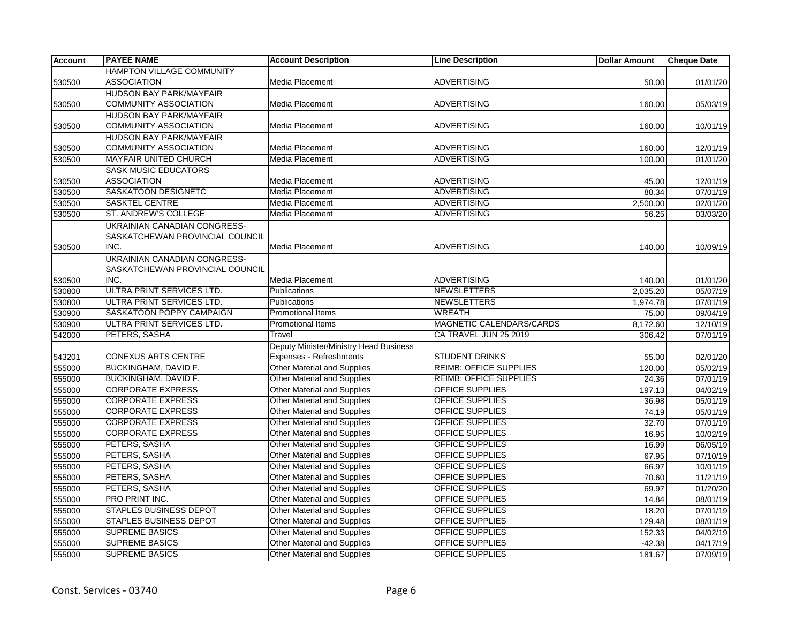| <b>Account</b> | <b>PAYEE NAME</b>                | <b>Account Description</b>             | <b>Line Description</b>         | <b>Dollar Amount</b> | <b>Cheque Date</b> |
|----------------|----------------------------------|----------------------------------------|---------------------------------|----------------------|--------------------|
|                | <b>HAMPTON VILLAGE COMMUNITY</b> |                                        |                                 |                      |                    |
| 530500         | <b>ASSOCIATION</b>               | Media Placement                        | <b>ADVERTISING</b>              | 50.00                | 01/01/20           |
|                | <b>HUDSON BAY PARK/MAYFAIR</b>   |                                        |                                 |                      |                    |
| 530500         | <b>COMMUNITY ASSOCIATION</b>     | Media Placement                        | <b>ADVERTISING</b>              | 160.00               | 05/03/19           |
|                | <b>HUDSON BAY PARK/MAYFAIR</b>   |                                        |                                 |                      |                    |
| 530500         | <b>COMMUNITY ASSOCIATION</b>     | Media Placement                        | <b>ADVERTISING</b>              | 160.00               | 10/01/19           |
|                | <b>HUDSON BAY PARK/MAYFAIR</b>   |                                        |                                 |                      |                    |
| 530500         | <b>COMMUNITY ASSOCIATION</b>     | Media Placement                        | <b>ADVERTISING</b>              | 160.00               | 12/01/19           |
| 530500         | <b>MAYFAIR UNITED CHURCH</b>     | Media Placement                        | <b>ADVERTISING</b>              | 100.00               | 01/01/20           |
|                | <b>SASK MUSIC EDUCATORS</b>      |                                        |                                 |                      |                    |
| 530500         | <b>ASSOCIATION</b>               | Media Placement                        | <b>ADVERTISING</b>              | 45.00                | 12/01/19           |
| 530500         | SASKATOON DESIGNETC              | <b>Media Placement</b>                 | <b>ADVERTISING</b>              | 88.34                | 07/01/19           |
| 530500         | <b>SASKTEL CENTRE</b>            | Media Placement                        | <b>ADVERTISING</b>              | 2,500.00             | 02/01/20           |
| 530500         | ST. ANDREW'S COLLEGE             | Media Placement                        | <b>ADVERTISING</b>              | 56.25                | 03/03/20           |
|                | UKRAINIAN CANADIAN CONGRESS-     |                                        |                                 |                      |                    |
|                | SASKATCHEWAN PROVINCIAL COUNCIL  |                                        |                                 |                      |                    |
| 530500         | INC.                             | Media Placement                        | <b>ADVERTISING</b>              | 140.00               | 10/09/19           |
|                | UKRAINIAN CANADIAN CONGRESS-     |                                        |                                 |                      |                    |
|                | SASKATCHEWAN PROVINCIAL COUNCIL  |                                        |                                 |                      |                    |
| 530500         | INC.                             | <b>Media Placement</b>                 | <b>ADVERTISING</b>              | 140.00               | 01/01/20           |
| 530800         | ULTRA PRINT SERVICES LTD.        | Publications                           | <b>NEWSLETTERS</b>              | 2,035.20             | 05/07/19           |
| 530800         | ULTRA PRINT SERVICES LTD.        | <b>Publications</b>                    | <b>NEWSLETTERS</b>              | 1,974.78             | 07/01/19           |
| 530900         | SASKATOON POPPY CAMPAIGN         | <b>Promotional Items</b>               | <b>WREATH</b>                   | 75.00                | 09/04/19           |
| 530900         | ULTRA PRINT SERVICES LTD.        | <b>Promotional Items</b>               | <b>MAGNETIC CALENDARS/CARDS</b> | 8,172.60             | 12/10/19           |
| 542000         | PETERS, SASHA                    | Travel                                 | CA TRAVEL JUN 25 2019           | 306.42               | 07/01/19           |
|                |                                  | Deputy Minister/Ministry Head Business |                                 |                      |                    |
| 543201         | <b>CONEXUS ARTS CENTRE</b>       | Expenses - Refreshments                | <b>STUDENT DRINKS</b>           | 55.00                | 02/01/20           |
| 555000         | <b>BUCKINGHAM, DAVID F.</b>      | <b>Other Material and Supplies</b>     | <b>REIMB: OFFICE SUPPLIES</b>   | 120.00               | 05/02/19           |
| 555000         | BUCKINGHAM, DAVID F.             | <b>Other Material and Supplies</b>     | <b>REIMB: OFFICE SUPPLIES</b>   | 24.36                | 07/01/19           |
| 555000         | <b>CORPORATE EXPRESS</b>         | <b>Other Material and Supplies</b>     | <b>OFFICE SUPPLIES</b>          | 197.13               | 04/02/19           |
| 555000         | <b>CORPORATE EXPRESS</b>         | Other Material and Supplies            | <b>OFFICE SUPPLIES</b>          | 36.98                | 05/01/19           |
| 555000         | <b>CORPORATE EXPRESS</b>         | Other Material and Supplies            | <b>OFFICE SUPPLIES</b>          | 74.19                | 05/01/19           |
| 555000         | <b>CORPORATE EXPRESS</b>         | Other Material and Supplies            | <b>OFFICE SUPPLIES</b>          | 32.70                | 07/01/19           |
| 555000         | <b>CORPORATE EXPRESS</b>         | <b>Other Material and Supplies</b>     | <b>OFFICE SUPPLIES</b>          | 16.95                | 10/02/19           |
| 555000         | PETERS, SASHA                    | <b>Other Material and Supplies</b>     | <b>OFFICE SUPPLIES</b>          | 16.99                | 06/05/19           |
| 555000         | PETERS, SASHA                    | <b>Other Material and Supplies</b>     | <b>OFFICE SUPPLIES</b>          | 67.95                | 07/10/19           |
| 555000         | PETERS, SASHA                    | <b>Other Material and Supplies</b>     | <b>OFFICE SUPPLIES</b>          | 66.97                | 10/01/19           |
| 555000         | PETERS, SASHA                    | <b>Other Material and Supplies</b>     | OFFICE SUPPLIES                 | 70.60                | 11/21/19           |
| 555000         | PETERS, SASHA                    | <b>Other Material and Supplies</b>     | OFFICE SUPPLIES                 | 69.97                | 01/20/20           |
| 555000         | PRO PRINT INC.                   | <b>Other Material and Supplies</b>     | <b>OFFICE SUPPLIES</b>          | 14.84                | 08/01/19           |
| 555000         | <b>STAPLES BUSINESS DEPOT</b>    | <b>Other Material and Supplies</b>     | <b>OFFICE SUPPLIES</b>          | 18.20                | 07/01/19           |
| 555000         | STAPLES BUSINESS DEPOT           | Other Material and Supplies            | <b>OFFICE SUPPLIES</b>          | 129.48               | 08/01/19           |
| 555000         | <b>SUPREME BASICS</b>            | <b>Other Material and Supplies</b>     | OFFICE SUPPLIES                 | 152.33               | 04/02/19           |
| 555000         | <b>SUPREME BASICS</b>            | <b>Other Material and Supplies</b>     | OFFICE SUPPLIES                 | $-42.38$             | 04/17/19           |
| 555000         | <b>SUPREME BASICS</b>            | Other Material and Supplies            | <b>OFFICE SUPPLIES</b>          | 181.67               | 07/09/19           |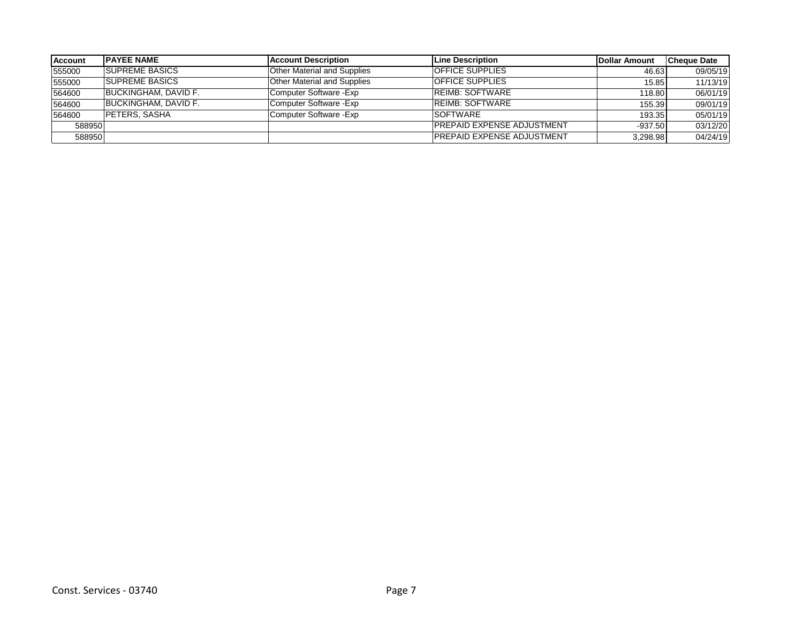| <b>Account</b> | <b>IPAYEE NAME</b>    | <b>Account Description</b>         | Line Description                  | <b>Dollar Amount</b> | <b>Cheque Date</b> |
|----------------|-----------------------|------------------------------------|-----------------------------------|----------------------|--------------------|
| 555000         | <b>SUPREME BASICS</b> | <b>Other Material and Supplies</b> | <b>OFFICE SUPPLIES</b>            | 46.63                | 09/05/19           |
| 555000         | <b>SUPREME BASICS</b> | <b>Other Material and Supplies</b> | <b>OFFICE SUPPLIES</b>            | 15.85                | 11/13/19           |
| 564600         | BUCKINGHAM, DAVID F.  | Computer Software - Exp            | <b>REIMB: SOFTWARE</b>            | 118.80               | 06/01/19           |
| 564600         | BUCKINGHAM, DAVID F.  | Computer Software - Exp            | <b>REIMB: SOFTWARE</b>            | 155.39               | 09/01/19           |
| 564600         | <b>PETERS, SASHA</b>  | Computer Software - Exp            | <b>SOFTWARE</b>                   | 193.35               | 05/01/19           |
| 588950         |                       |                                    | <b>PREPAID EXPENSE ADJUSTMENT</b> | $-937.50$            | 03/12/20           |
| 588950         |                       |                                    | <b>PREPAID EXPENSE ADJUSTMENT</b> | 3,298.98             | 04/24/19           |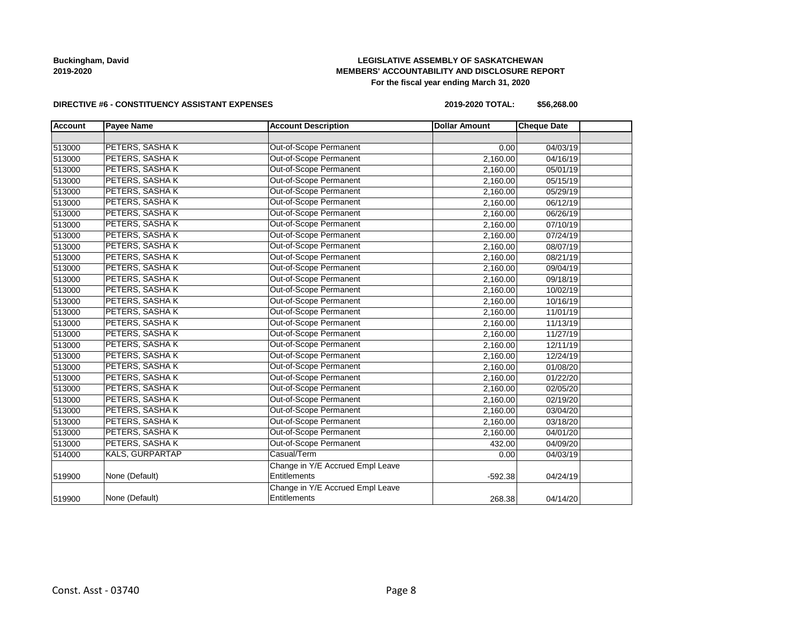## **LEGISLATIVE ASSEMBLY OF SASKATCHEWAN MEMBERS' ACCOUNTABILITY AND DISCLOSURE REPORT For the fiscal year ending March 31, 2020**

#### **DIRECTIVE #6 - CONSTITUENCY ASSISTANT EXPENSES**

**2019-2020 TOTAL: \$56,268.00**

| <b>Account</b> | <b>Payee Name</b>      | <b>Account Description</b>       | <b>Dollar Amount</b> | <b>Cheque Date</b> |  |
|----------------|------------------------|----------------------------------|----------------------|--------------------|--|
|                |                        |                                  |                      |                    |  |
| 513000         | PETERS, SASHAK         | Out-of-Scope Permanent           | 0.00                 | 04/03/19           |  |
| 513000         | PETERS, SASHAK         | <b>Out-of-Scope Permanent</b>    | 2,160.00             | 04/16/19           |  |
| 513000         | PETERS, SASHAK         | Out-of-Scope Permanent           | 2,160.00             | 05/01/19           |  |
| 513000         | PETERS, SASHAK         | Out-of-Scope Permanent           | 2,160.00             | 05/15/19           |  |
| 513000         | PETERS, SASHAK         | Out-of-Scope Permanent           | 2,160.00             | 05/29/19           |  |
| 513000         | PETERS, SASHAK         | Out-of-Scope Permanent           | 2,160.00             | 06/12/19           |  |
| 513000         | PETERS, SASHAK         | Out-of-Scope Permanent           | 2,160.00             | 06/26/19           |  |
| 513000         | PETERS, SASHAK         | Out-of-Scope Permanent           | 2,160.00             | 07/10/19           |  |
| 513000         | PETERS, SASHAK         | Out-of-Scope Permanent           | 2,160.00             | 07/24/19           |  |
| 513000         | PETERS, SASHAK         | Out-of-Scope Permanent           | 2,160.00             | 08/07/19           |  |
| 513000         | PETERS, SASHAK         | Out-of-Scope Permanent           | 2,160.00             | 08/21/19           |  |
| 513000         | PETERS, SASHAK         | Out-of-Scope Permanent           | 2,160.00             | 09/04/19           |  |
| 513000         | PETERS, SASHAK         | Out-of-Scope Permanent           | 2,160.00             | 09/18/19           |  |
| 513000         | PETERS, SASHAK         | Out-of-Scope Permanent           | 2,160.00             | 10/02/19           |  |
| 513000         | PETERS, SASHAK         | Out-of-Scope Permanent           | 2,160.00             | 10/16/19           |  |
| 513000         | PETERS, SASHAK         | Out-of-Scope Permanent           | 2,160.00             | 11/01/19           |  |
| 513000         | PETERS, SASHAK         | Out-of-Scope Permanent           | 2,160.00             | 11/13/19           |  |
| 513000         | PETERS, SASHAK         | Out-of-Scope Permanent           | 2,160.00             | 11/27/19           |  |
| 513000         | PETERS, SASHAK         | Out-of-Scope Permanent           | 2,160.00             | 12/11/19           |  |
| 513000         | PETERS, SASHAK         | Out-of-Scope Permanent           | 2,160.00             | 12/24/19           |  |
| 513000         | PETERS, SASHAK         | Out-of-Scope Permanent           | 2,160.00             | 01/08/20           |  |
| 513000         | PETERS, SASHAK         | Out-of-Scope Permanent           | 2,160.00             | 01/22/20           |  |
| 513000         | PETERS, SASHAK         | Out-of-Scope Permanent           | 2,160.00             | 02/05/20           |  |
| 513000         | PETERS, SASHAK         | Out-of-Scope Permanent           | 2,160.00             | 02/19/20           |  |
| 513000         | PETERS, SASHAK         | Out-of-Scope Permanent           | 2,160.00             | 03/04/20           |  |
| 513000         | PETERS, SASHAK         | Out-of-Scope Permanent           | 2,160.00             | 03/18/20           |  |
| 513000         | PETERS, SASHAK         | Out-of-Scope Permanent           | 2,160.00             | 04/01/20           |  |
| 513000         | PETERS, SASHAK         | Out-of-Scope Permanent           | 432.00               | 04/09/20           |  |
| 514000         | <b>KALS, GURPARTAP</b> | Casual/Term                      | 0.00                 | 04/03/19           |  |
|                |                        | Change in Y/E Accrued Empl Leave |                      |                    |  |
| 519900         | None (Default)         | Entitlements                     | $-592.38$            | 04/24/19           |  |
|                |                        | Change in Y/E Accrued Empl Leave |                      |                    |  |
| 519900         | None (Default)         | Entitlements                     | 268.38               | 04/14/20           |  |